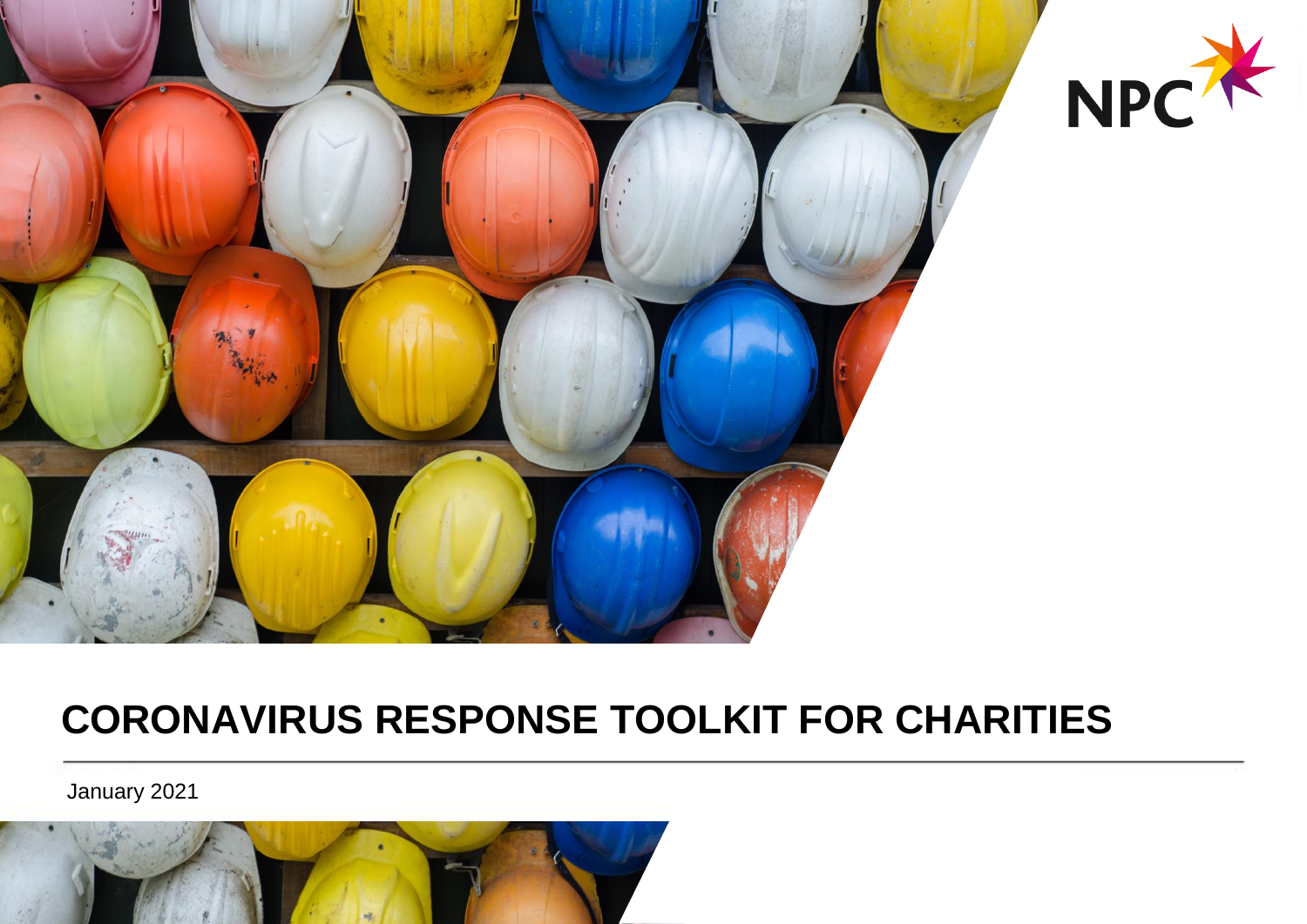

## **CORONAVIRUS RESPONSE TOOLKIT FOR CHARITIES**

January 2021

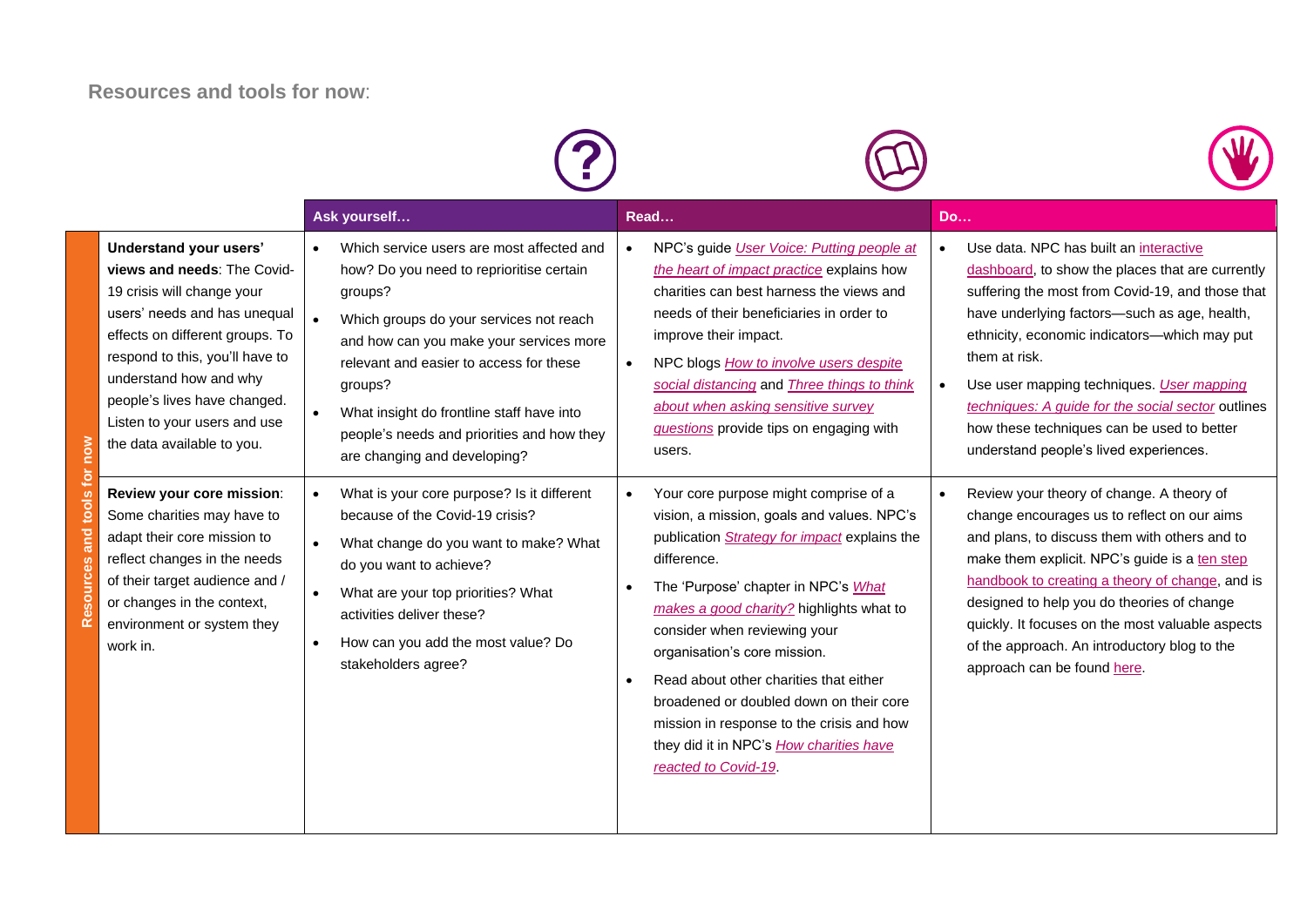## **Resources and tools for now**:

|            | Understand your users'<br>views and needs: The Covid-<br>19 crisis will change your                                                                                                                                              | Ask yourself<br>Which service users are most affected and<br>how? Do you need to reprioritise certain<br>groups?                                                                                                                                                                                                         | Read<br>NPC's guide User Voice: Putting people at<br>the heart of impact practice explains how<br>charities can best harness the views and                                                                                                                                                                                                                                                                                                                                                                                                                                                   | <b>Do</b><br>Use data. NPC has built an interactive<br>dashboard, to show the places that are currently<br>suffering the most from Covid-19, and those that                                                                                                                                                                                                                                                                    |
|------------|----------------------------------------------------------------------------------------------------------------------------------------------------------------------------------------------------------------------------------|--------------------------------------------------------------------------------------------------------------------------------------------------------------------------------------------------------------------------------------------------------------------------------------------------------------------------|----------------------------------------------------------------------------------------------------------------------------------------------------------------------------------------------------------------------------------------------------------------------------------------------------------------------------------------------------------------------------------------------------------------------------------------------------------------------------------------------------------------------------------------------------------------------------------------------|--------------------------------------------------------------------------------------------------------------------------------------------------------------------------------------------------------------------------------------------------------------------------------------------------------------------------------------------------------------------------------------------------------------------------------|
| <b>NOU</b> | users' needs and has unequal<br>effects on different groups. To<br>respond to this, you'll have to<br>understand how and why<br>people's lives have changed.<br>Listen to your users and use<br>the data available to you.       | Which groups do your services not reach<br>and how can you make your services more<br>relevant and easier to access for these<br>groups?<br>What insight do frontline staff have into<br>people's needs and priorities and how they<br>are changing and developing?                                                      | needs of their beneficiaries in order to<br>have underlying factors-such as age, health,<br>ethnicity, economic indicators-which may put<br>improve their impact.<br>them at risk.<br>NPC blogs <b>How to involve users despite</b><br>$\bullet$<br>social distancing and Three things to think<br>Use user mapping techniques. User mapping<br>about when asking sensitive survey<br>techniques: A guide for the social sector outlines<br>how these techniques can be used to better<br><i>questions</i> provide tips on engaging with<br>understand people's lived experiences.<br>users. |                                                                                                                                                                                                                                                                                                                                                                                                                                |
|            | Review your core mission:<br>Some charities may have to<br>adapt their core mission to<br>reflect changes in the needs<br>of their target audience and /<br>or changes in the context,<br>environment or system they<br>work in. | What is your core purpose? Is it different<br>because of the Covid-19 crisis?<br>What change do you want to make? What<br>$\bullet$<br>do you want to achieve?<br>What are your top priorities? What<br>$\bullet$<br>activities deliver these?<br>How can you add the most value? Do<br>$\bullet$<br>stakeholders agree? | Your core purpose might comprise of a<br>$\bullet$<br>vision, a mission, goals and values. NPC's<br>publication Strategy for impact explains the<br>difference.<br>The 'Purpose' chapter in NPC's What<br>makes a good charity? highlights what to<br>consider when reviewing your<br>organisation's core mission.<br>Read about other charities that either<br>$\bullet$<br>broadened or doubled down on their core<br>mission in response to the crisis and how<br>they did it in NPC's How charities have<br>reacted to Covid-19.                                                         | Review your theory of change. A theory of<br>change encourages us to reflect on our aims<br>and plans, to discuss them with others and to<br>make them explicit. NPC's guide is a ten step<br>handbook to creating a theory of change, and is<br>designed to help you do theories of change<br>quickly. It focuses on the most valuable aspects<br>of the approach. An introductory blog to the<br>approach can be found here. |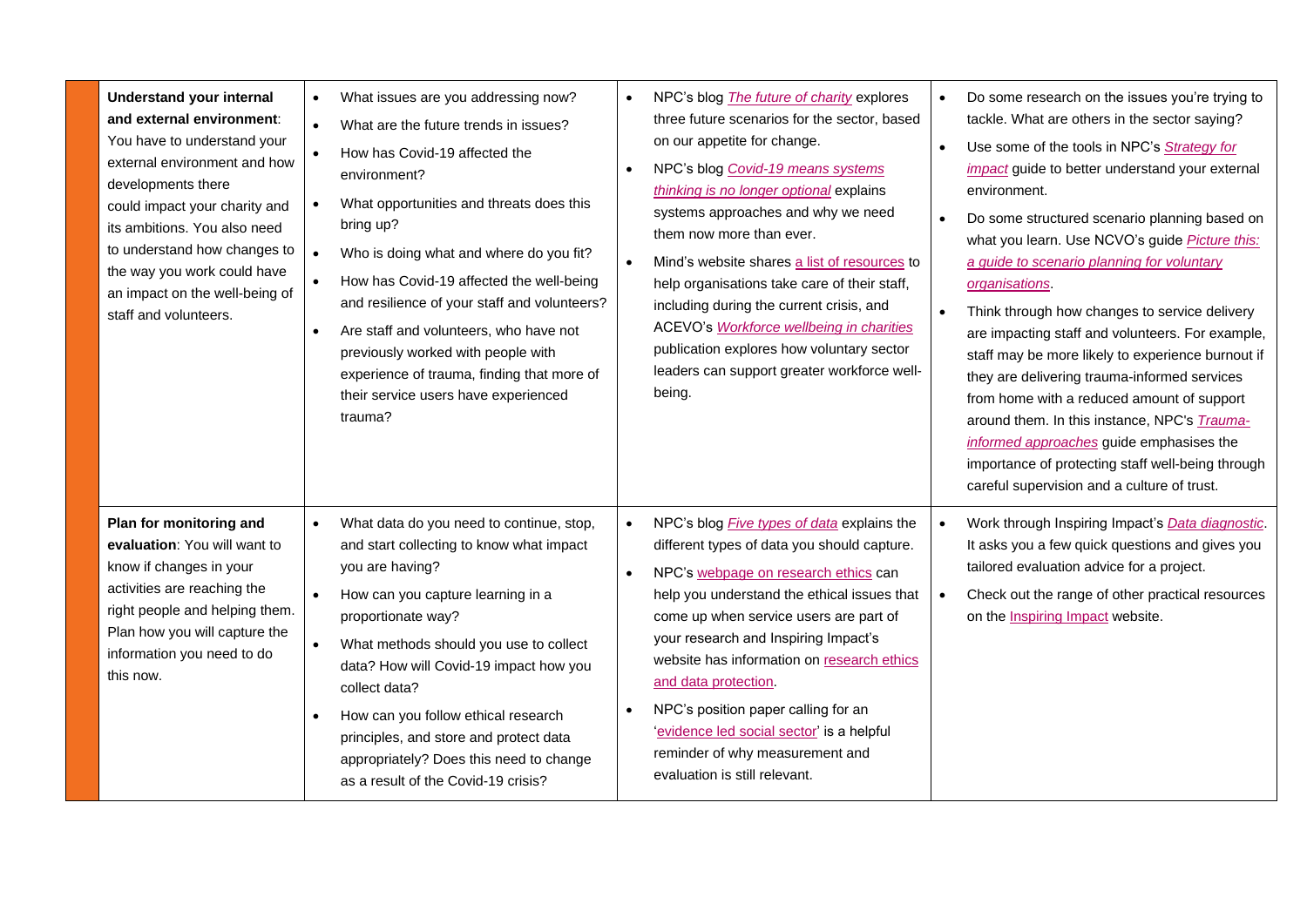| <b>Understand your internal</b><br>and external environment:<br>You have to understand your<br>external environment and how<br>developments there<br>could impact your charity and<br>its ambitions. You also need<br>to understand how changes to<br>the way you work could have<br>an impact on the well-being of<br>staff and volunteers. | What issues are you addressing now?<br>$\bullet$<br>$\bullet$<br>What are the future trends in issues?<br>How has Covid-19 affected the<br>environment?<br>What opportunities and threats does this<br>$\bullet$<br>bring up?<br>Who is doing what and where do you fit?<br>$\bullet$<br>How has Covid-19 affected the well-being<br>$\bullet$<br>and resilience of your staff and volunteers?<br>Are staff and volunteers, who have not<br>$\bullet$<br>previously worked with people with<br>experience of trauma, finding that more of<br>their service users have experienced<br>trauma? | NPC's blog The future of charity explores<br>$\bullet$<br>three future scenarios for the sector, based<br>on our appetite for change.<br>NPC's blog Covid-19 means systems<br>thinking is no longer optional explains<br>systems approaches and why we need<br>them now more than ever.<br>Mind's website shares a list of resources to<br>$\bullet$<br>help organisations take care of their staff,<br>including during the current crisis, and<br>ACEVO's Workforce wellbeing in charities<br>publication explores how voluntary sector<br>leaders can support greater workforce well-<br>being. | Do some research on the issues you're trying to<br>tackle. What are others in the sector saying?<br>Use some of the tools in NPC's Strategy for<br>$\bullet$<br>impact guide to better understand your external<br>environment.<br>Do some structured scenario planning based on<br>what you learn. Use NCVO's guide Picture this:<br>a guide to scenario planning for voluntary<br>organisations.<br>Think through how changes to service delivery<br>are impacting staff and volunteers. For example,<br>staff may be more likely to experience burnout if<br>they are delivering trauma-informed services<br>from home with a reduced amount of support<br>around them. In this instance, NPC's <i>Trauma-</i><br>informed approaches guide emphasises the<br>importance of protecting staff well-being through<br>careful supervision and a culture of trust. |
|----------------------------------------------------------------------------------------------------------------------------------------------------------------------------------------------------------------------------------------------------------------------------------------------------------------------------------------------|----------------------------------------------------------------------------------------------------------------------------------------------------------------------------------------------------------------------------------------------------------------------------------------------------------------------------------------------------------------------------------------------------------------------------------------------------------------------------------------------------------------------------------------------------------------------------------------------|----------------------------------------------------------------------------------------------------------------------------------------------------------------------------------------------------------------------------------------------------------------------------------------------------------------------------------------------------------------------------------------------------------------------------------------------------------------------------------------------------------------------------------------------------------------------------------------------------|-------------------------------------------------------------------------------------------------------------------------------------------------------------------------------------------------------------------------------------------------------------------------------------------------------------------------------------------------------------------------------------------------------------------------------------------------------------------------------------------------------------------------------------------------------------------------------------------------------------------------------------------------------------------------------------------------------------------------------------------------------------------------------------------------------------------------------------------------------------------|
| Plan for monitoring and<br>evaluation: You will want to<br>know if changes in your<br>activities are reaching the<br>right people and helping them.<br>Plan how you will capture the<br>information you need to do<br>this now.                                                                                                              | What data do you need to continue, stop,<br>and start collecting to know what impact<br>you are having?<br>$\bullet$<br>How can you capture learning in a<br>proportionate way?<br>What methods should you use to collect<br>$\bullet$<br>data? How will Covid-19 impact how you<br>collect data?<br>How can you follow ethical research<br>$\bullet$<br>principles, and store and protect data<br>appropriately? Does this need to change<br>as a result of the Covid-19 crisis?                                                                                                            | NPC's blog <i>Five types of data</i> explains the<br>$\bullet$<br>different types of data you should capture.<br>NPC's webpage on research ethics can<br>$\bullet$<br>help you understand the ethical issues that<br>come up when service users are part of<br>your research and Inspiring Impact's<br>website has information on research ethics<br>and data protection.<br>NPC's position paper calling for an<br>'evidence led social sector' is a helpful<br>reminder of why measurement and<br>evaluation is still relevant.                                                                  | Work through Inspiring Impact's Data diagnostic.<br>It asks you a few quick questions and gives you<br>tailored evaluation advice for a project.<br>Check out the range of other practical resources<br>on the <b>Inspiring Impact</b> website.                                                                                                                                                                                                                                                                                                                                                                                                                                                                                                                                                                                                                   |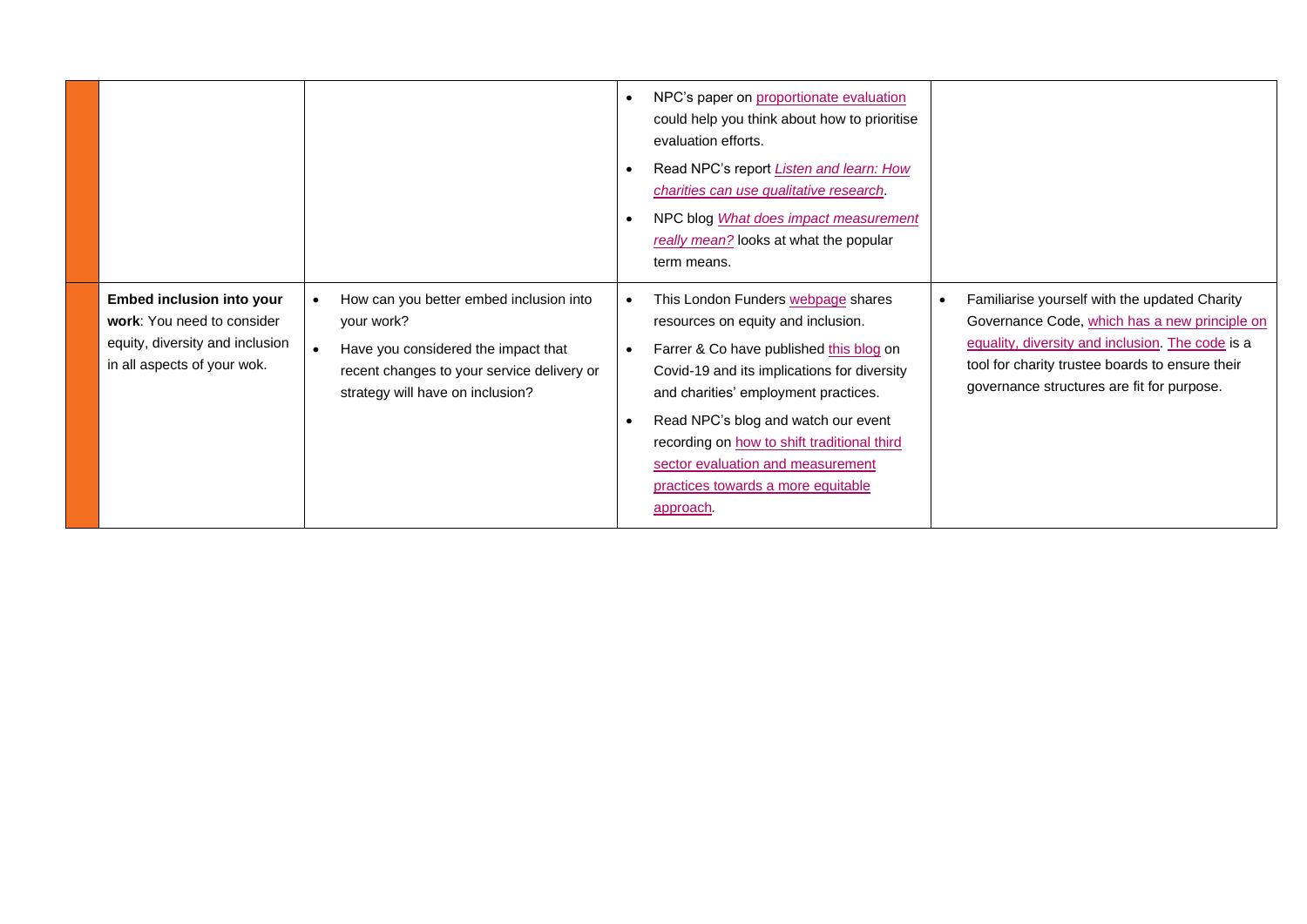|                                                                                                                                  |                                                                                                                                                                                             | NPC's paper on proportionate evaluation<br>could help you think about how to prioritise<br>evaluation efforts.<br>Read NPC's report Listen and learn: How<br>charities can use qualitative research.<br>NPC blog What does impact measurement<br>really mean? looks at what the popular<br>term means.                                                                                   |                                                                                                                                                                                                                                                                  |
|----------------------------------------------------------------------------------------------------------------------------------|---------------------------------------------------------------------------------------------------------------------------------------------------------------------------------------------|------------------------------------------------------------------------------------------------------------------------------------------------------------------------------------------------------------------------------------------------------------------------------------------------------------------------------------------------------------------------------------------|------------------------------------------------------------------------------------------------------------------------------------------------------------------------------------------------------------------------------------------------------------------|
| <b>Embed inclusion into your</b><br>work: You need to consider<br>equity, diversity and inclusion<br>in all aspects of your wok. | How can you better embed inclusion into<br>$\bullet$<br>your work?<br>Have you considered the impact that<br>recent changes to your service delivery or<br>strategy will have on inclusion? | This London Funders webpage shares<br>resources on equity and inclusion.<br>Farrer & Co have published this blog on<br>Covid-19 and its implications for diversity<br>and charities' employment practices.<br>Read NPC's blog and watch our event<br>recording on how to shift traditional third<br>sector evaluation and measurement<br>practices towards a more equitable<br>approach. | Familiarise yourself with the updated Charity<br>$\bullet$<br>Governance Code, which has a new principle on<br>equality, diversity and inclusion. The code is a<br>tool for charity trustee boards to ensure their<br>governance structures are fit for purpose. |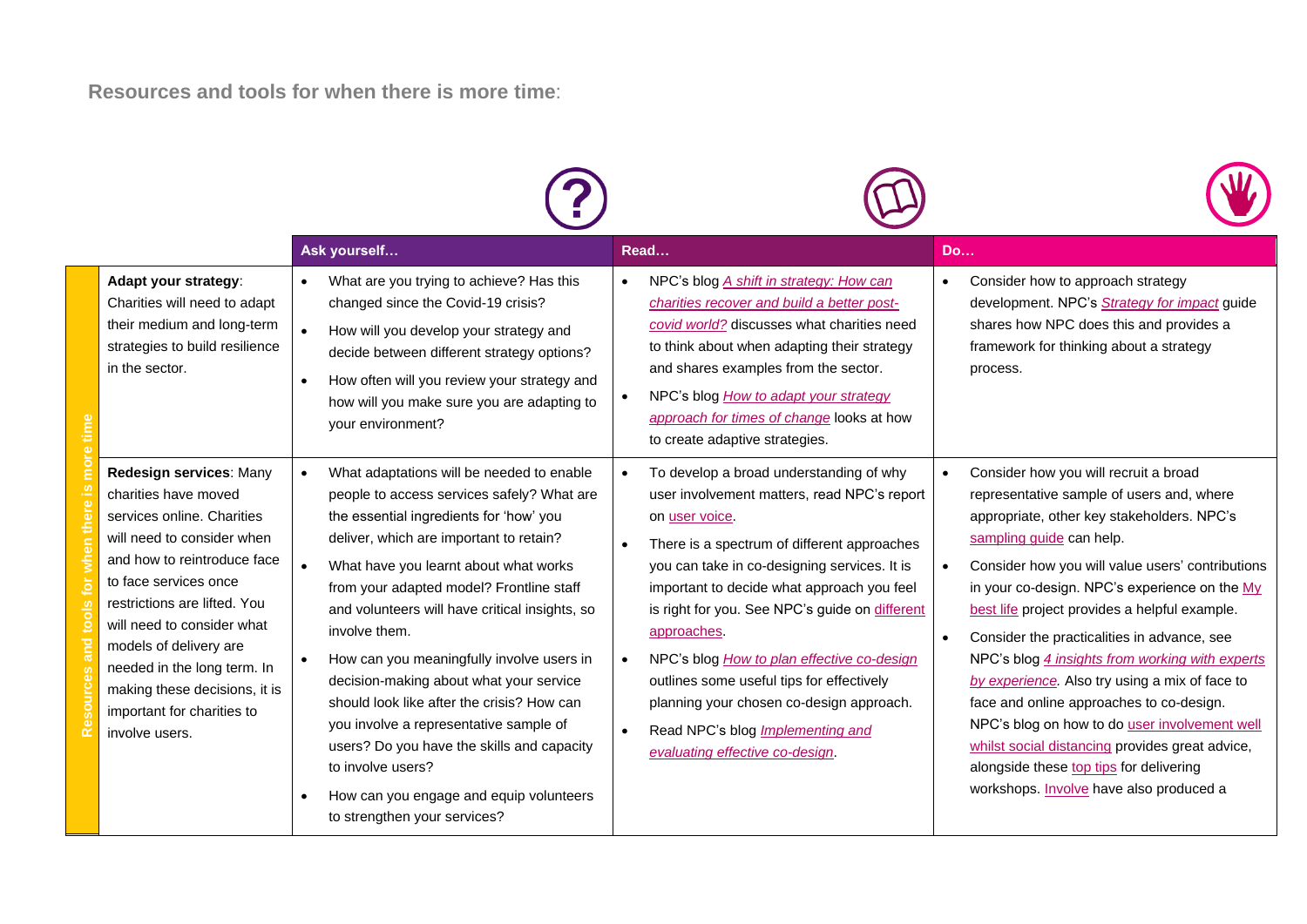**Resources and tools for when there is more time**:

|                                                                                                                                                                                                                                                                                                                                                                             | Ask yourself                                                                                                                                                                                                                                                                                                                                                                                                                                                                                                                                                                                                                                                                     | Read                                                                                                                                                                                                                                                                                                                                                                                                                                                                                                                                                     | <b>Do</b>                                                                                                                                                                                                                                                                                                                                                                                                                                                                                                                                                                                                                                                                                                                              |
|-----------------------------------------------------------------------------------------------------------------------------------------------------------------------------------------------------------------------------------------------------------------------------------------------------------------------------------------------------------------------------|----------------------------------------------------------------------------------------------------------------------------------------------------------------------------------------------------------------------------------------------------------------------------------------------------------------------------------------------------------------------------------------------------------------------------------------------------------------------------------------------------------------------------------------------------------------------------------------------------------------------------------------------------------------------------------|----------------------------------------------------------------------------------------------------------------------------------------------------------------------------------------------------------------------------------------------------------------------------------------------------------------------------------------------------------------------------------------------------------------------------------------------------------------------------------------------------------------------------------------------------------|----------------------------------------------------------------------------------------------------------------------------------------------------------------------------------------------------------------------------------------------------------------------------------------------------------------------------------------------------------------------------------------------------------------------------------------------------------------------------------------------------------------------------------------------------------------------------------------------------------------------------------------------------------------------------------------------------------------------------------------|
| Adapt your strategy:<br>Charities will need to adapt<br>their medium and long-term<br>strategies to build resilience<br>in the sector.                                                                                                                                                                                                                                      | What are you trying to achieve? Has this<br>changed since the Covid-19 crisis?<br>How will you develop your strategy and<br>decide between different strategy options?<br>How often will you review your strategy and<br>how will you make sure you are adapting to<br>your environment?                                                                                                                                                                                                                                                                                                                                                                                         | NPC's blog A shift in strategy: How can<br>$\bullet$<br>charities recover and build a better post-<br>covid world? discusses what charities need<br>to think about when adapting their strategy<br>and shares examples from the sector.<br>NPC's blog How to adapt your strategy<br>approach for times of change looks at how<br>to create adaptive strategies.                                                                                                                                                                                          | Consider how to approach strategy<br>$\bullet$<br>development. NPC's Strategy for impact guide<br>shares how NPC does this and provides a<br>framework for thinking about a strategy<br>process.                                                                                                                                                                                                                                                                                                                                                                                                                                                                                                                                       |
| Redesign services: Many<br>charities have moved<br>services online. Charities<br>will need to consider when<br>and how to reintroduce face<br>to face services once<br>restrictions are lifted. You<br>will need to consider what<br>models of delivery are<br>needed in the long term. In<br>making these decisions, it is<br>important for charities to<br>involve users. | What adaptations will be needed to enable<br>people to access services safely? What are<br>the essential ingredients for 'how' you<br>deliver, which are important to retain?<br>What have you learnt about what works<br>$\bullet$<br>from your adapted model? Frontline staff<br>and volunteers will have critical insights, so<br>involve them.<br>How can you meaningfully involve users in<br>decision-making about what your service<br>should look like after the crisis? How can<br>you involve a representative sample of<br>users? Do you have the skills and capacity<br>to involve users?<br>How can you engage and equip volunteers<br>to strengthen your services? | To develop a broad understanding of why<br>$\bullet$<br>user involvement matters, read NPC's report<br>on user voice.<br>There is a spectrum of different approaches<br>you can take in co-designing services. It is<br>important to decide what approach you feel<br>is right for you. See NPC's guide on different<br>approaches.<br>NPC's blog How to plan effective co-design<br>outlines some useful tips for effectively<br>planning your chosen co-design approach.<br>Read NPC's blog <i>Implementing and</i><br>evaluating effective co-design. | Consider how you will recruit a broad<br>$\bullet$<br>representative sample of users and, where<br>appropriate, other key stakeholders. NPC's<br>sampling guide can help.<br>Consider how you will value users' contributions<br>$\bullet$<br>in your co-design. NPC's experience on the My<br>best life project provides a helpful example.<br>Consider the practicalities in advance, see<br>NPC's blog 4 insights from working with experts<br>by experience. Also try using a mix of face to<br>face and online approaches to co-design.<br>NPC's blog on how to do user involvement well<br>whilst social distancing provides great advice,<br>alongside these top tips for delivering<br>workshops. Involve have also produced a |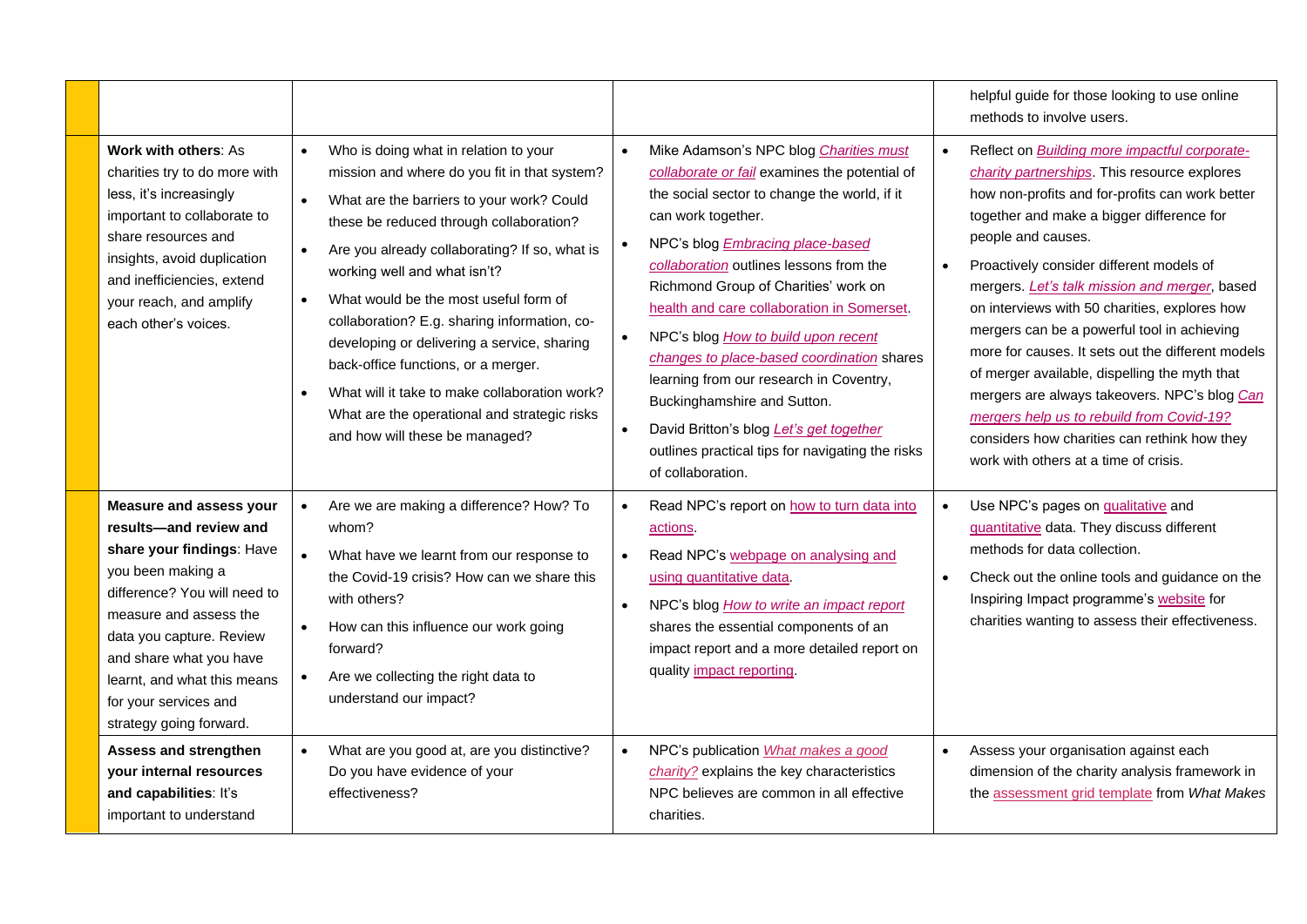|                                                                                                                                                                                                                                                                                                                |                                                                                                                                                                                                                                                                                                                                                                                                                                                                                                                                                                                                                         |                                                                                                                                                                                                                                                                                                                                                                                                                                                                                                                                                                                                                                                                                  | helpful guide for those looking to use online<br>methods to involve users.                                                                                                                                                                                                                                                                                                                                                                                                                                                                                                                                                                                                                                                       |
|----------------------------------------------------------------------------------------------------------------------------------------------------------------------------------------------------------------------------------------------------------------------------------------------------------------|-------------------------------------------------------------------------------------------------------------------------------------------------------------------------------------------------------------------------------------------------------------------------------------------------------------------------------------------------------------------------------------------------------------------------------------------------------------------------------------------------------------------------------------------------------------------------------------------------------------------------|----------------------------------------------------------------------------------------------------------------------------------------------------------------------------------------------------------------------------------------------------------------------------------------------------------------------------------------------------------------------------------------------------------------------------------------------------------------------------------------------------------------------------------------------------------------------------------------------------------------------------------------------------------------------------------|----------------------------------------------------------------------------------------------------------------------------------------------------------------------------------------------------------------------------------------------------------------------------------------------------------------------------------------------------------------------------------------------------------------------------------------------------------------------------------------------------------------------------------------------------------------------------------------------------------------------------------------------------------------------------------------------------------------------------------|
| Work with others: As<br>charities try to do more with<br>less, it's increasingly<br>important to collaborate to<br>share resources and<br>insights, avoid duplication<br>and inefficiencies, extend<br>your reach, and amplify<br>each other's voices.                                                         | Who is doing what in relation to your<br>$\bullet$<br>mission and where do you fit in that system?<br>What are the barriers to your work? Could<br>these be reduced through collaboration?<br>Are you already collaborating? If so, what is<br>$\bullet$<br>working well and what isn't?<br>What would be the most useful form of<br>$\bullet$<br>collaboration? E.g. sharing information, co-<br>developing or delivering a service, sharing<br>back-office functions, or a merger.<br>What will it take to make collaboration work?<br>What are the operational and strategic risks<br>and how will these be managed? | Mike Adamson's NPC blog Charities must<br>$\bullet$<br>collaborate or fail examines the potential of<br>the social sector to change the world, if it<br>can work together.<br>NPC's blog <b>Embracing place-based</b><br>$\bullet$<br>collaboration outlines lessons from the<br>Richmond Group of Charities' work on<br>health and care collaboration in Somerset.<br>NPC's blog How to build upon recent<br>$\bullet$<br>changes to place-based coordination shares<br>learning from our research in Coventry,<br>Buckinghamshire and Sutton.<br>David Britton's blog Let's get together<br>$\bullet$<br>outlines practical tips for navigating the risks<br>of collaboration. | Reflect on <b>Building more impactful corporate-</b><br>$\bullet$<br>charity partnerships. This resource explores<br>how non-profits and for-profits can work better<br>together and make a bigger difference for<br>people and causes.<br>Proactively consider different models of<br>mergers. Let's talk mission and merger, based<br>on interviews with 50 charities, explores how<br>mergers can be a powerful tool in achieving<br>more for causes. It sets out the different models<br>of merger available, dispelling the myth that<br>mergers are always takeovers. NPC's blog Can<br>mergers help us to rebuild from Covid-19?<br>considers how charities can rethink how they<br>work with others at a time of crisis. |
| <b>Measure and assess your</b><br>results-and review and<br>share your findings: Have<br>you been making a<br>difference? You will need to<br>measure and assess the<br>data you capture. Review<br>and share what you have<br>learnt, and what this means<br>for your services and<br>strategy going forward. | Are we are making a difference? How? To<br>$\bullet$<br>whom?<br>What have we learnt from our response to<br>the Covid-19 crisis? How can we share this<br>with others?<br>How can this influence our work going<br>forward?<br>Are we collecting the right data to<br>understand our impact?                                                                                                                                                                                                                                                                                                                           | Read NPC's report on how to turn data into<br>$\bullet$<br>actions.<br>Read NPC's webpage on analysing and<br>$\bullet$<br>using quantitative data.<br>NPC's blog How to write an impact report<br>$\bullet$<br>shares the essential components of an<br>impact report and a more detailed report on<br>quality impact reporting.                                                                                                                                                                                                                                                                                                                                                | Use NPC's pages on qualitative and<br>$\bullet$<br>quantitative data. They discuss different<br>methods for data collection.<br>Check out the online tools and guidance on the<br>$\bullet$<br>Inspiring Impact programme's website for<br>charities wanting to assess their effectiveness.                                                                                                                                                                                                                                                                                                                                                                                                                                      |
| <b>Assess and strengthen</b><br>your internal resources<br>and capabilities: It's<br>important to understand                                                                                                                                                                                                   | What are you good at, are you distinctive?<br>$\bullet$<br>Do you have evidence of your<br>effectiveness?                                                                                                                                                                                                                                                                                                                                                                                                                                                                                                               | NPC's publication What makes a good<br>$\bullet$<br>charity? explains the key characteristics<br>NPC believes are common in all effective<br>charities.                                                                                                                                                                                                                                                                                                                                                                                                                                                                                                                          | Assess your organisation against each<br>dimension of the charity analysis framework in<br>the assessment grid template from What Makes                                                                                                                                                                                                                                                                                                                                                                                                                                                                                                                                                                                          |